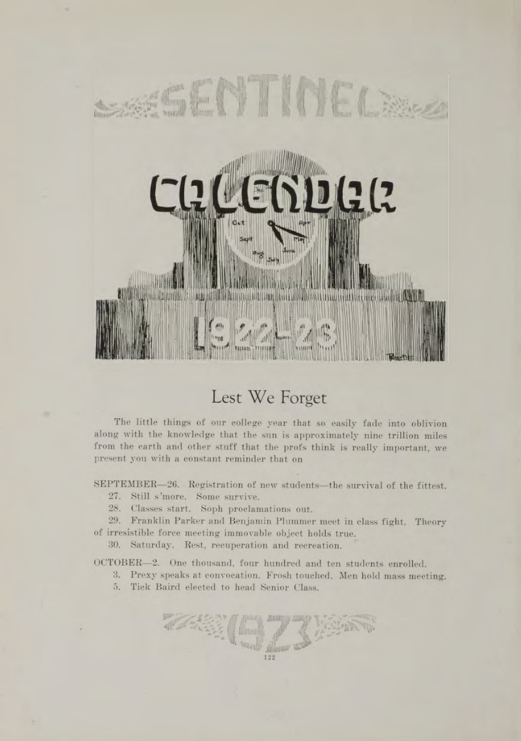

## Lest We Forget

The little things of our college year that so easily fade into oblivion along with the knowledge that the sun is approximately nine trillion miles from the earth and other stuff that the profs think is really important, we present you with a constant reminder that on

SEPTEMBER-26. Registration of new students-the survival of the fittest.

- 27. Still s 'more. Some survive.
- 28. Classes start. Soph proclamations out.

29. Franklin Parker and Benjamin Plummer meet in class fight. Theory of irresistible force m eeting immovable object holds true.

30. Saturday. Rest, recuperation and recreation.

OCTOBER—2. One thousand, four hundred and ten students enrolled.

3. Prexy speaks at convocation. Frosh touched. Men hold mass meeting.

23 200

5. Tick Baird elected to head Senior Class.

**TARY**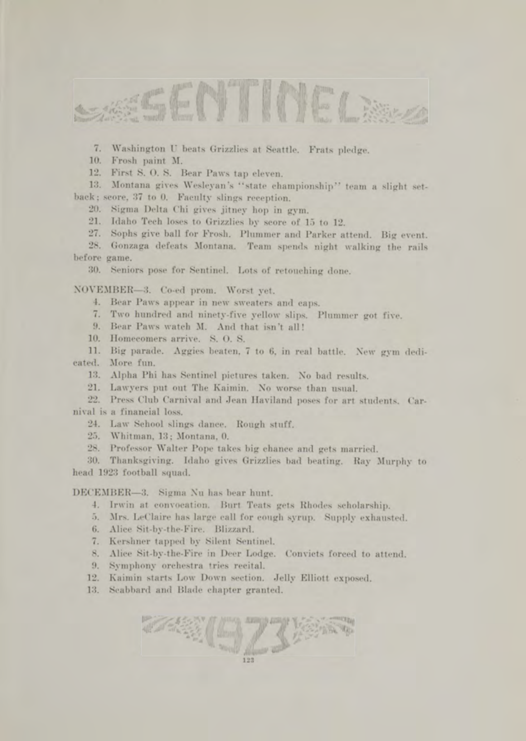

7. Washington U beats Grizzlies at Seattle. Frats pledge.

10. Frosh paint M.

12. First S.O.S. Bear Paws tap eleven.

13. Montana gives Wesleyan's "state championship" team a slight setback; score, 37 to 0. Faculty slings reception.

20. Sigma Delta Chi gives jitney hop in gym.

21. Idaho Tech loses to Grizzlies by score of 15 to 12.

27. Sophs give ball for Frosh. Plummer and Parker attend. Big event.

28. Gonzaga defeats Montana. Team spends night walking the rails before game.

30. Seniors pose for Sentinel. Lots of retouching done.

NOVEMBER-3. Co-ed prom. Worst yet.

4. Bear Paws appear in new sweaters and caps.

7. Two hundred and ninety-five yellow slips. Plummer got five.

9. Bear Paws watch M. And that isn't all!

10. Homecomers arrive. S. O. S.

11. Big parade. Aggies beaten, 7 to 6, in real battle. New gym dedicated. More fun.

13. Alpha Phi has Sentinel pictures taken. No bad results.

21. Lawyers put out The Kaimin. No worse than usual.

22. Press Club Carnival and Jean Haviland poses for art students. Carnival is a financial loss.

24. Law School slings dance. Rough stuff.

25. Whitman, 13: Montana, 0.

28. Professor Walter Pope takes big chance and gets married.

30. Thanksgiving. Idaho gives Grizzlies bad beating. Ray Murphy to head 1923 football squad.

DECEMBER-3. Sigma Nu has bear hunt.

4. Irwin at convocation. Burt Teats gets Rhodes scholarship.

5. Mrs. LeClaire has large call for cough sjrrup. Supply exhausted.

6. Alice Sit-by-the-Fire. Blizzard.

7. Kershner tapped by Silent Sentinel.

8. Alice Sit-by-the-Fire in Deer Lodge. Convicts forced to attend.

241973

9. Symphony orchestra tries recital.

12. Kaimin starts Low Down section. Jelly Elliott exposed.

13. Scabbard and Blade chapter granted.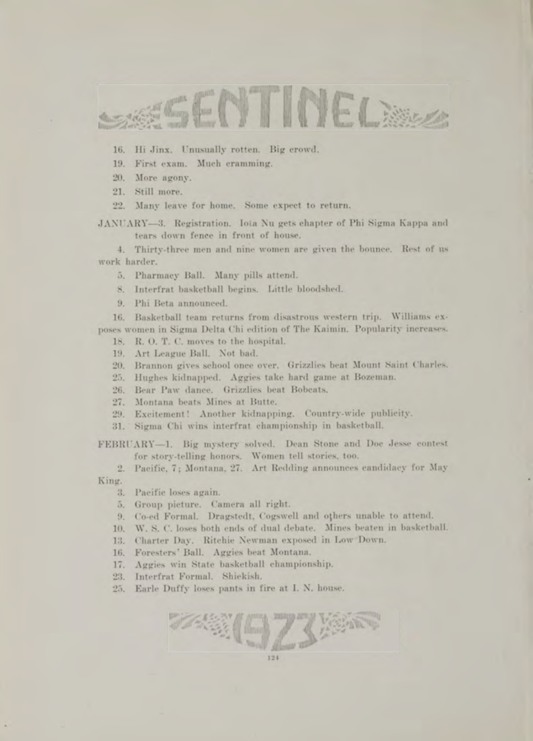

- 16. Hi Jinx. Unusually rotten. Big crowd.
- 19. First exam. Much eramming.
- 20. More agony.
- 21. Still more.
- 22. Many leave for home. Some expect to return.

JANUARY-3. Registration. Iota Nu gets chapter of Phi Sigma Kappa and tears down fence in front of house.

4. Thirty-three men and nine women are given the bounce. Rest of us work harder.

- 5. Pharmacy Ball. Many pills attend.
- 8. Interfrat basketball begins. Little bloodshed.
- 9. Phi Beta announced.

16. Basketball team returns from disastrous western trip. Williams exposes women in Sigma Delta Chi edition of The Kaimin. Popularity increases.

- 18. R. O. T. C. moves to the hospital.
- 19. Art League Ball. Not bad.
- 20. Brannon gives school once over. Grizzlies beat Mount Saint Charles.
- 25. Hughes kidnapped. Aggies take hard game at Bozeman.
- 26. Bear Paw dance. Grizzlies beat Bobeats.
- 27. Montana beats Mines at Butte.
- 29. Excitement! Another kidnapping. Country-wide publicity.
- 31. Sigma Chi wins interfrat championship in basketball.

FEBRUARY-1. Big mystery solved. Dean Stone and Doc Jesse contest for story-telling honors. Women tell stories, too.

2. Pacific, 7; Montana, 27. Art Redding announces candidacy for May King.

- 3. Pacific loses again.
- 5. Group picture. Camera all right.
- 9. Co-ed Formal. Dragstedt, Cogswell and others unable to attend.
- 10. W. S. C. loses both ends of dual debate. Mines beaten in basketball.
- 13. Charter Day. Ritchie Newman exposed in Low Down.
- 16. Foresters' Ball. Aggies beat Montana.
- 17. Aggies win State basketball championship.
- 23. Interfrat Formal. Shiekish.
- 25. Earle Duffy loses pants in fire at I. N. house.

124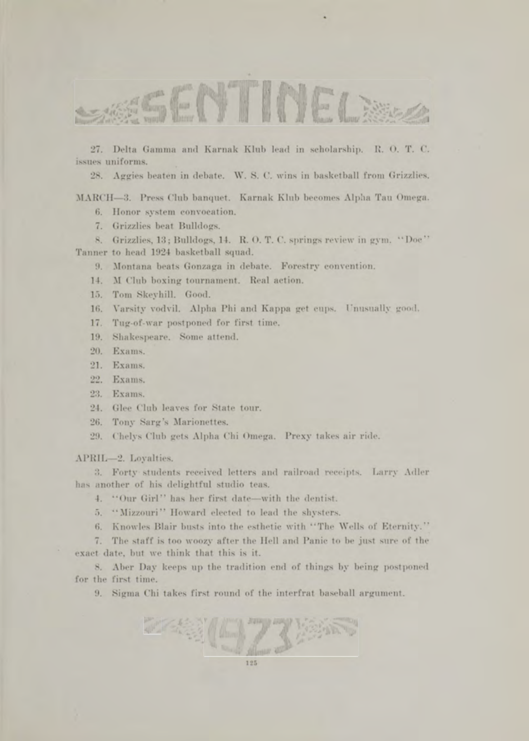

27. Delta Gamma and Karnak Klub lead in scholarship. R. O. T. C. issues uniforms.

28. Aggies beaten in debate. W. S. C. wins in basketball from Grizzlies.

MARCH-3. Press Club banquet. Karnak Klub becomes Alpha Tau Omega.

6. Honor system convocation.

7. Grizzlies beat Bulldogs.

8. Grizzlies, 13; Bulldogs, 14. R. O. T. C. springs review in gym. " Doc" Tanner to head 1924 basketball squad.

9. Montana beats Gonzaga in debate. Forestry convention.

14. M Club boxing tournament. Real action.

15. Tom Skeyhill. Good.

16. Varsity vodvil. Alpha Phi and Kappa get cups. Unusually good.

17. Tug-of-war postponed for first time.

19. Shakespeare. Some attend.

20. Exams.

21. Exams.

22. Exams.

23. Exams.

24. Glee Club leaves for State tour.

26. Tony Sarg's Marionettes.

29. Chelys Club gets Alpha Chi Omega. Prexy takes air ride.

APRIL—2. Loyalties.

3. Forty students received letters and railroad receipts. Larry Adler has another of his delightful studio teas.

4. "Our Girl" has her first date—with the dentist.

5. "Mizzouri" Howard elected to lead the shysters.

6. Knowles Blair busts into the esthetic with "The Wells of Eternity."

7. The staff is too woozy after the Hell and Panic to be just sure of the exact date, but we think that this is it.

8. Aber Day keeps up the tradition end of things by being postponed for the first time.

9. Sigma Chi takes first round of the interfrat baseball argument.

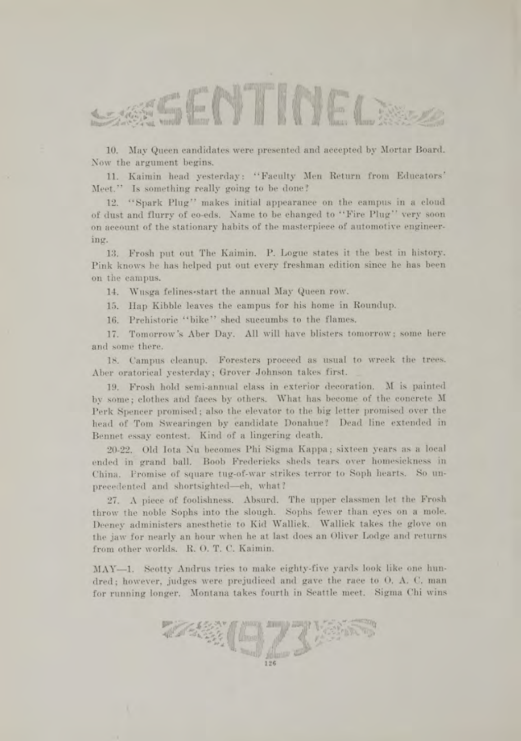

10. May Queen candidates were presented and accepted by Mortar Board. Now the argument begins.

11. Kaimin head yesterday: "Faculty Men Return from Educators' Meet." Is something really going to be done?

12. "Spark Plug" makes initial appearance on the campus in a cloud of dust and flurry of co-eds. Name to be changed to "Fire Plug" very soon on account of the stationary habits of the masterpiece of automotive engineering.

13. Frosh put out The Kaimin. P. Logue states it the best in history. Pink knows he has helped put out every freshman edition since he has been on the campus.

14. Wusga felines-start the annual May Queen row.

15. Hap Kibble leaves the campus for his home in Roundup.

16. Prehistoric "bike" shed succumbs to the flames.

17. Tomorrow's Aber Day. All will have blisters tomorrow; some here and some there.

18. Campus cleanup. Foresters proceed as usual to wreck the trees. Aber oratorical yesterday: Grover Johnson takes first.

19. Frosh hold semi-annual class in exterior decoration. M is painted by some; clothes and faces by others. W hat has become of the concrete M Perk Spencer promised; also the elevator to the big letter promised over the head of Tom Swearingen by candidate Donahue? Dead line extended in Bennet essay contest. Kind of a lingering death.

20-22. Old Iota Nu becomes Phi Sigma Kappa; sixteen years as a local ended in grand ball. Boob Fredericks sheds tears over homesickness in China. Fromise of square tug-of-war strikes terror to Soph hearts. So unprecedented and shortsighted-eh, what?

27. A piece of foolishness. A bsurd. The upper classmen let the Frosh throw the noble Sophs into the slough. Sophs fewer than eyes on a mole. Deeney administers anesthetic to Kid Wallick. Wallick takes the glove on the jaw for nearly an hour when he at last does an Oliver Lodge and returns from other worlds. R. O. T. C. Kaimin.

MAY-1. Seotty Andrus tries to make eighty-five yards look like one hundred: however, judges were prejudiced and gave the race to O. A. C. man for running longer. Montana takes fourth in Seattle meet. Sigma Chi wins

**r;,** 923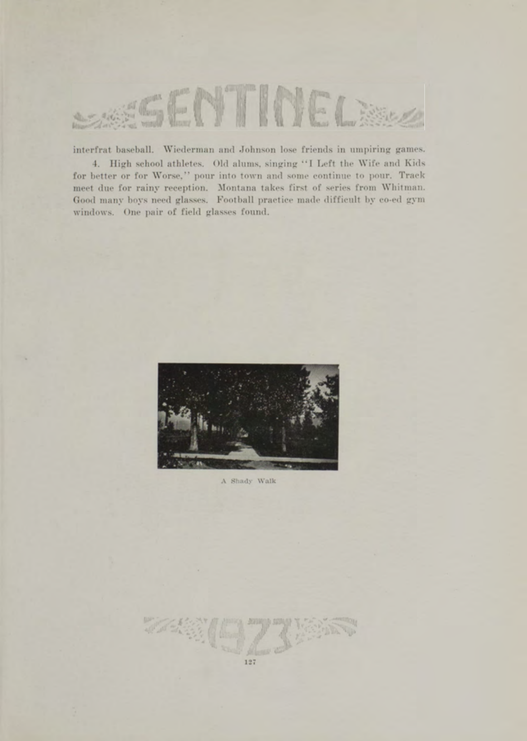

interfrat baseball. Wiederman and Johnson lose friends in umpiring games. 4. High school athletes. Old alums, singing "I Left the Wife and Kids for better or for Worse," pour into town and some continue to pour. Track meet due for rainy reception. Montana takes first of series from Whitman. Good many boys need glasses. Football practice made difficult by co-ed gym

windows. One pair of field glasses found.



A Shady Walk

127